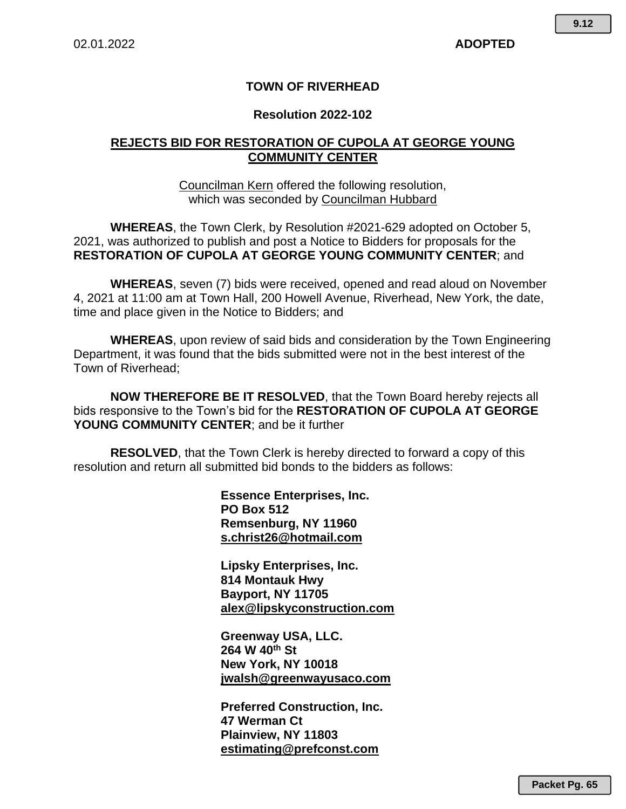### **TOWN OF RIVERHEAD**

#### **Resolution 2022-102**

### **REJECTS BID FOR RESTORATION OF CUPOLA AT GEORGE YOUNG COMMUNITY CENTER**

Councilman Kern offered the following resolution, which was seconded by Councilman Hubbard

**WHEREAS**, the Town Clerk, by Resolution #2021-629 adopted on October 5, 2021, was authorized to publish and post a Notice to Bidders for proposals for the **RESTORATION OF CUPOLA AT GEORGE YOUNG COMMUNITY CENTER**; and

**WHEREAS**, seven (7) bids were received, opened and read aloud on November 4, 2021 at 11:00 am at Town Hall, 200 Howell Avenue, Riverhead, New York, the date, time and place given in the Notice to Bidders; and

**WHEREAS**, upon review of said bids and consideration by the Town Engineering Department, it was found that the bids submitted were not in the best interest of the Town of Riverhead;

**NOW THEREFORE BE IT RESOLVED**, that the Town Board hereby rejects all bids responsive to the Town's bid for the **RESTORATION OF CUPOLA AT GEORGE YOUNG COMMUNITY CENTER**; and be it further

**RESOLVED**, that the Town Clerk is hereby directed to forward a copy of this resolution and return all submitted bid bonds to the bidders as follows:

> **Essence Enterprises, Inc. PO Box 512 Remsenburg, NY 11960 s.christ26@hotmail.com**

**Lipsky Enterprises, Inc. 814 Montauk Hwy Bayport, NY 11705 alex@lipskyconstruction.com**

**Greenway USA, LLC. 264 W 40th St New York, NY 10018 jwalsh@greenwayusaco.com**

**Preferred Construction, Inc. 47 Werman Ct Plainview, NY 11803 estimating@prefconst.com**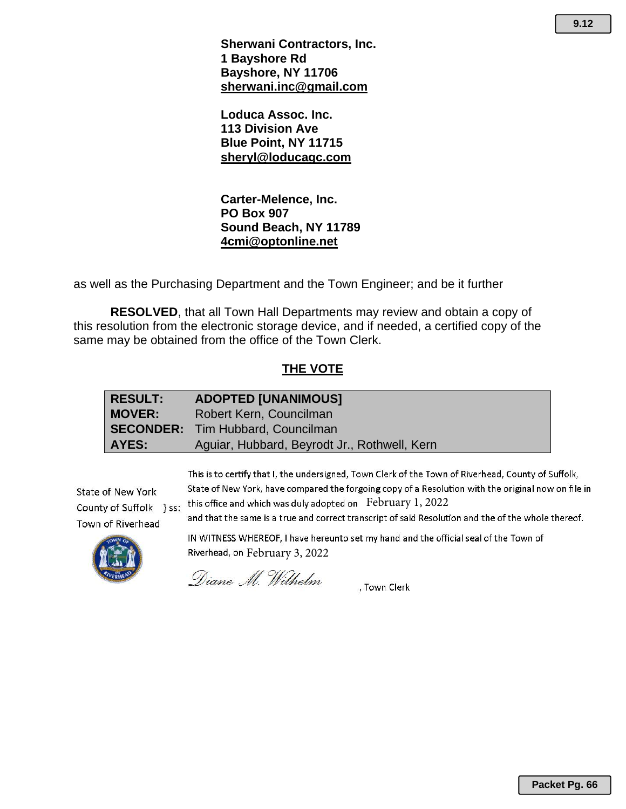**Loduca Assoc. Inc. 113 Division Ave Blue Point, NY 11715 sheryl@loducagc.com**

**Carter-Melence, Inc. PO Box 907 Sound Beach, NY 11789 4cmi@optonline.net**

as well as the Purchasing Department and the Town Engineer; and be it further

**RESOLVED**, that all Town Hall Departments may review and obtain a copy of this resolution from the electronic storage device, and if needed, a certified copy of the same may be obtained from the office of the Town Clerk.

#### **THE VOTE**

| <b>RESULT:</b> | <b>ADOPTED [UNANIMOUS]</b>                   |
|----------------|----------------------------------------------|
| MOVER:         | Robert Kern, Councilman                      |
|                | <b>SECONDER:</b> Tim Hubbard, Councilman     |
| AYES:          | Aguiar, Hubbard, Beyrodt Jr., Rothwell, Kern |

State of New York County of Suffolk } ss: Town of Riverhead

This is to certify that I, the undersigned, Town Clerk of the Town of Riverhead, County of Suffolk, State of New York, have compared the forgoing copy of a Resolution with the original now on file in this office and which was duly adopted on  $\,$  February 1, 2022

and that the same is a true and correct transcript of said Resolution and the of the whole thereof.



IN WITNESS WHEREOF, I have hereunto set my hand and the official seal of the Town of Riverhead, on February 3, 2022

Diane M. Wilhelm

, Town Clerk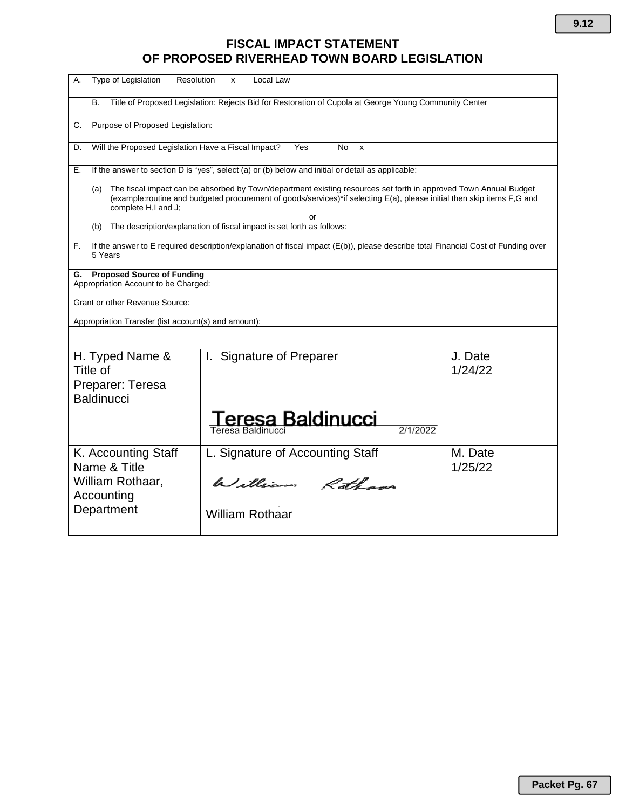# **FISCAL IMPACT STATEMENT OF PROPOSED RIVERHEAD TOWN BOARD LEGISLATION**

| Type of Legislation<br>Resolution x Local Law<br>А.                                                                                                                                                                                                                            |                                                   |                    |  |  |
|--------------------------------------------------------------------------------------------------------------------------------------------------------------------------------------------------------------------------------------------------------------------------------|---------------------------------------------------|--------------------|--|--|
| Title of Proposed Legislation: Rejects Bid for Restoration of Cupola at George Young Community Center<br><b>B.</b>                                                                                                                                                             |                                                   |                    |  |  |
| Purpose of Proposed Legislation:<br>С.                                                                                                                                                                                                                                         |                                                   |                    |  |  |
| Will the Proposed Legislation Have a Fiscal Impact?<br>Yes<br>No <u>x</u><br>D.                                                                                                                                                                                                |                                                   |                    |  |  |
| If the answer to section D is "yes", select (a) or (b) below and initial or detail as applicable:<br>Е.                                                                                                                                                                        |                                                   |                    |  |  |
| The fiscal impact can be absorbed by Town/department existing resources set forth in approved Town Annual Budget<br>(a)<br>(example:routine and budgeted procurement of goods/services)*if selecting E(a), please initial then skip items F,G and<br>complete H,I and J;<br>or |                                                   |                    |  |  |
| The description/explanation of fiscal impact is set forth as follows:<br>(b)                                                                                                                                                                                                   |                                                   |                    |  |  |
| If the answer to E required description/explanation of fiscal impact (E(b)), please describe total Financial Cost of Funding over<br>F.<br>5 Years                                                                                                                             |                                                   |                    |  |  |
| <b>Proposed Source of Funding</b><br>G.<br>Appropriation Account to be Charged:                                                                                                                                                                                                |                                                   |                    |  |  |
| Grant or other Revenue Source:                                                                                                                                                                                                                                                 |                                                   |                    |  |  |
| Appropriation Transfer (list account(s) and amount):                                                                                                                                                                                                                           |                                                   |                    |  |  |
|                                                                                                                                                                                                                                                                                |                                                   |                    |  |  |
| H. Typed Name &<br>Title of<br>Preparer: Teresa                                                                                                                                                                                                                                | I. Signature of Preparer                          | J. Date<br>1/24/22 |  |  |
| <b>Baldinucci</b>                                                                                                                                                                                                                                                              |                                                   |                    |  |  |
|                                                                                                                                                                                                                                                                                | eresa Baldinucci<br>2/1/2022<br>Teresa Baldinucci |                    |  |  |
| K. Accounting Staff<br>Name & Title                                                                                                                                                                                                                                            | L. Signature of Accounting Staff                  | M. Date<br>1/25/22 |  |  |
| William Rothaar,<br>Accounting                                                                                                                                                                                                                                                 | William Rothans                                   |                    |  |  |
| Department                                                                                                                                                                                                                                                                     | <b>William Rothaar</b>                            |                    |  |  |